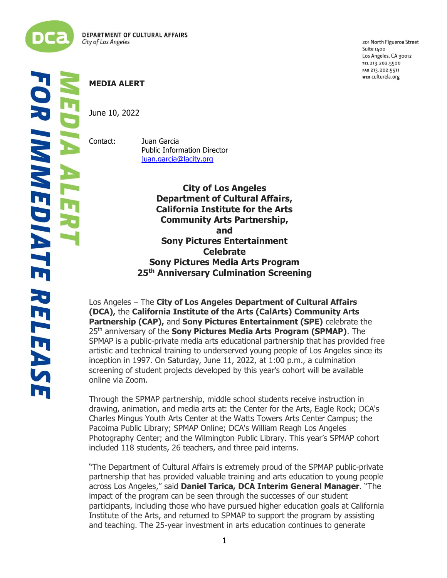

ļ į

**R IMMEDIATE RELEAS** Lī

# **MEDIA ALERT**

June 10, 2022

Contact: Juan Garcia Public Information Director [juan.garcia@lacity.org](mailto:juan.garcia@lacity.org)

> **City of Los Angeles Department of Cultural Affairs, California Institute for the Arts Community Arts Partnership, and Sony Pictures Entertainment Celebrate Sony Pictures Media Arts Program 25th Anniversary Culmination Screening**

Los Angeles – The **City of Los Angeles Department of Cultural Affairs (DCA),** the **California Institute of the Arts (CalArts) Community Arts Partnership (CAP),** and **Sony Pictures Entertainment (SPE)** celebrate the 25<sup>th</sup> anniversary of the **Sony Pictures Media Arts Program (SPMAP)**. The SPMAP is a public-private media arts educational partnership that has provided free artistic and technical training to underserved young people of Los Angeles since its inception in 1997. On Saturday, June 11, 2022, at 1:00 p.m., a culmination screening of student projects developed by this year's cohort will be available online via Zoom.

Through the SPMAP partnership, middle school students receive instruction in drawing, animation, and media arts at: the Center for the Arts, Eagle Rock; DCA's Charles Mingus Youth Arts Center at the Watts Towers Arts Center Campus; the Pacoima Public Library; SPMAP Online; DCA's William Reagh Los Angeles Photography Center; and the Wilmington Public Library. This year's SPMAP cohort included 118 students, 26 teachers, and three paid interns.

"The Department of Cultural Affairs is extremely proud of the SPMAP public-private partnership that has provided valuable training and arts education to young people across Los Angeles," said **Daniel Tarica, DCA Interim General Manager**. "The impact of the program can be seen through the successes of our student participants, including those who have pursued higher education goals at California Institute of the Arts, and returned to SPMAP to support the program by assisting and teaching. The 25-year investment in arts education continues to generate

201 North Figueroa Street Suite 1400 Los Angeles, CA 90012 TEL 213.202.5500 FAX 213.202.5511 WEB culturela.org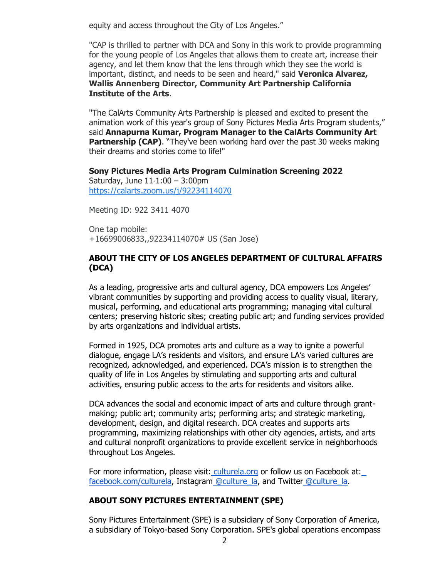equity and access throughout the City of Los Angeles."

"CAP is thrilled to partner with DCA and Sony in this work to provide programming for the young people of Los Angeles that allows them to create art, increase their agency, and let them know that the lens through which they see the world is important, distinct, and needs to be seen and heard," said **Veronica Alvarez, Wallis Annenberg Director, Community Art Partnership California Institute of the Arts**.

"The CalArts Community Arts Partnership is pleased and excited to present the animation work of this year's group of Sony Pictures Media Arts Program students," said **Annapurna Kumar, Program Manager to the CalArts Community Art Partnership (CAP).** "They've been working hard over the past 30 weeks making their dreams and stories come to life!"

#### **Sony Pictures Media Arts Program Culmination Screening 2022**

Saturday, June 11⋅1:00 – 3:00pm [https://calarts.zoom.us/j/92234114070](https://www.google.com/url?q=https://calarts.zoom.us/j/92234114070&sa=D&source=calendar&ust=1655240860927377&usg=AOvVaw2eXXKImllTmB1em86PgV34)

Meeting ID: 922 3411 4070

One tap mobile: +16699006833,,92234114070# US (San Jose)

# **ABOUT THE CITY OF LOS ANGELES DEPARTMENT OF CULTURAL AFFAIRS (DCA)**

As a leading, progressive arts and cultural agency, DCA empowers Los Angeles' vibrant communities by supporting and providing access to quality visual, literary, musical, performing, and educational arts programming; managing vital cultural centers; preserving historic sites; creating public art; and funding services provided by arts organizations and individual artists.

Formed in 1925, DCA promotes arts and culture as a way to ignite a powerful dialogue, engage LA's residents and visitors, and ensure LA's varied cultures are recognized, acknowledged, and experienced. DCA's mission is to strengthen the quality of life in Los Angeles by stimulating and supporting arts and cultural activities, ensuring public access to the arts for residents and visitors alike.

DCA advances the social and economic impact of arts and culture through grantmaking; public art; community arts; performing arts; and strategic marketing, development, design, and digital research. DCA creates and supports arts programming, maximizing relationships with other city agencies, artists, and arts and cultural nonprofit organizations to provide excellent service in neighborhoods throughout Los Angeles.

For more information, please visit: [culturela.org](http://culturela.org/) or follow us on Facebook at[:](https://www.facebook.com/culturela/)  [facebook.com/culturela,](https://www.facebook.com/culturela/) Instagram [@culture\\_la,](https://www.instagram.com/culture_la/?hl=en) and Twitter [@culture\\_la.](https://twitter.com/culture_la?lang=en)

# **ABOUT SONY PICTURES ENTERTAINMENT (SPE)**

Sony Pictures Entertainment (SPE) is a subsidiary of Sony Corporation of America, a subsidiary of Tokyo-based Sony Corporation. SPE's global operations encompass